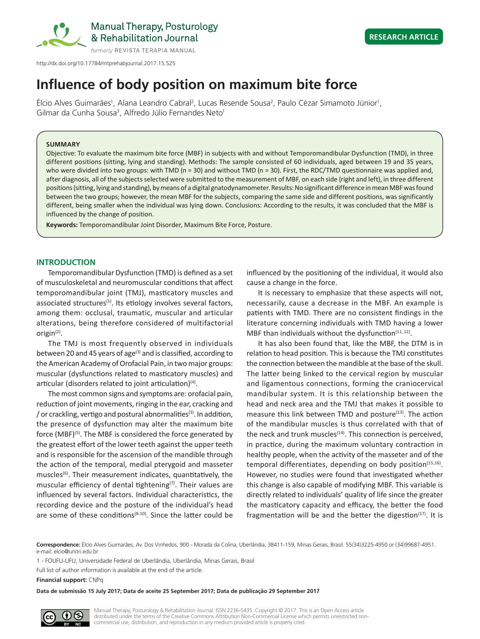

http://dx.doi.org/10.17784/mtprehabjournal.2017.15.525

# **Influence of body position on maximum bite force**

Elcio Alves Guimarães<sup>1</sup>, Alana Leandro Cabral<sup>2</sup>, Lucas Resende Sousa<sup>2</sup>, Paulo Cézar Simamoto Júnior<sup>1</sup>, Gilmar da Cunha Sousa<sup>3</sup>, Alfredo Júlio Fernandes Neto<sup>1</sup>

#### **SUMMARY**

Objective: To evaluate the maximum bite force (MBF) in subjects with and without Temporomandibular Dysfunction (TMD), in three different positions (sitting, lying and standing). Methods: The sample consisted of 60 individuals, aged between 19 and 35 years, who were divided into two groups: with TMD (n = 30) and without TMD (n = 30). First, the RDC/TMD questionnaire was applied and, after diagnosis, all of the subjects selected were submitted to the measurement of MBF, on each side (right and left), in three different positions (sitting, lying and standing), by means of a digital gnatodynamometer. Results: No significant difference in mean MBF was found between the two groups; however, the mean MBF for the subjects, comparing the same side and different positions, was significantly different, being smaller when the individual was lying down. Conclusions: According to the results, it was concluded that the MBF is influenced by the change of position.

**Keywords:** Temporomandibular Joint Disorder, Maximum Bite Force, Posture.

# **INTRODUCTION**

Temporomandibular Dysfunction (TMD) is defined as a set of musculoskeletal and neuromuscular conditions that affect temporomandibular joint (TMJ), masticatory muscles and associated structures $(1)$ . Its etiology involves several factors, among them: occlusal, traumatic, muscular and articular alterations, being therefore considered of multifactorial origin(2).

The TMJ is most frequently observed in individuals between 20 and 45 years of age<sup>(3)</sup> and is classified, according to the American Academy of Orofacial Pain, in two major groups: muscular (dysfunctions related to masticatory muscles) and articular (disorders related to joint articulation) $(4)$ .

The most common signs and symptoms are: orofacial pain, reduction of joint movements, ringing in the ear, cracking and / or crackling, vertigo and postural abnormalities(3). In addition, the presence of dysfunction may alter the maximum bite force (MBF)<sup>(5)</sup>. The MBF is considered the force generated by the greatest effort of the lower teeth against the upper teeth and is responsible for the ascension of the mandible through the action of the temporal, medial pterygoid and masseter muscles<sup>(6)</sup>. Their measurement indicates, quantitatively, the muscular efficiency of dental tightening $(7)$ . Their values are influenced by several factors. Individual characteristics, the recording device and the posture of the individual's head are some of these conditions<sup> $(8-10)$ </sup>. Since the latter could be

influenced by the positioning of the individual, it would also cause a change in the force.

It is necessary to emphasize that these aspects will not, necessarily, cause a decrease in the MBF. An example is patients with TMD. There are no consistent findings in the literature concerning individuals with TMD having a lower MBF than individuals without the dysfunction $(11, 12)$ .

It has also been found that, like the MBF, the DTM is in relation to head position. This is because the TMJ constitutes the connection between the mandible at the base of the skull. The latter being linked to the cervical region by muscular and ligamentous connections, forming the craniocervical mandibular system. It is this relationship between the head and neck area and the TMJ that makes it possible to measure this link between TMD and posture<sup>(13)</sup>. The action of the mandibular muscles is thus correlated with that of the neck and trunk muscles $(14)$ . This connection is perceived, in practice, during the maximum voluntary contraction in healthy people, when the activity of the masseter and of the temporal differentiates, depending on body position $(15,16)$ . However, no studies were found that investigated whether this change is also capable of modifying MBF. This variable is directly related to individuals' quality of life since the greater the masticatory capacity and efficacy, the better the food fragmentation will be and the better the digestion $(17)$ . It is

**Correspondence:** Élcio Alves Guimarães, Av. Dos Vinhedos, 900 - Morada da Colina, Uberlândia, 38411-159, Minas Gerais, Brasil. 55(34)3225-4950 or (34)99687-4951. e-mail: elcio@unitri.edu.br

1 - FOUFU-UFU, Universidade Federal de Uberlândia, Uberlândia, Minas Gerais, Brasil

Full list of author information is available at the end of the article.

**Financial support:** CNPq

**Data de submissão 15 July 2017; Data de aceite 25 September 2017; Data de publicação 29 September 2017**

rs

Manual Therapy, Posturology & Rehabilitation Journal. ISSN 2236-5435. Copyright © 2017. This is an Open Access article distributed under the terms of the Creative Commons Attribution Non-Commercial License which permits unrestricted noncommercial use, distribution, and reproduction in any medium provided article is properly cited.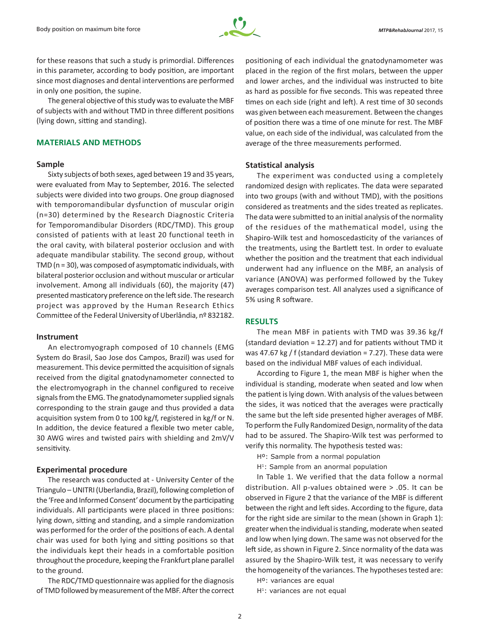

for these reasons that such a study is primordial. Differences in this parameter, according to body position, are important since most diagnoses and dental interventions are performed in only one position, the supine.

The general objective of this study was to evaluate the MBF of subjects with and without TMD in three different positions (lying down, sitting and standing).

## **MATERIALS AND METHODS**

## **Sample**

Sixty subjects of both sexes, aged between 19 and 35 years, were evaluated from May to September, 2016. The selected subjects were divided into two groups. One group diagnosed with temporomandibular dysfunction of muscular origin (n=30) determined by the Research Diagnostic Criteria for Temporomandibular Disorders (RDC/TMD). This group consisted of patients with at least 20 functional teeth in the oral cavity, with bilateral posterior occlusion and with adequate mandibular stability. The second group, without TMD (n = 30), was composed of asymptomatic individuals, with bilateral posterior occlusion and without muscular or articular involvement. Among all individuals (60), the majority (47) presented masticatory preference on the left side. The research project was approved by the Human Research Ethics Committee of the Federal University of Uberlândia, nº 832182.

## **Instrument**

An electromyograph composed of 10 channels (EMG System do Brasil, Sao Jose dos Campos, Brazil) was used for measurement. This device permitted the acquisition of signals received from the digital gnatodynamometer connected to the electromyograph in the channel configured to receive signals from the EMG. The gnatodynamometer supplied signals corresponding to the strain gauge and thus provided a data acquisition system from 0 to 100 kg/f, registered in kg/f or N. In addition, the device featured a flexible two meter cable, 30 AWG wires and twisted pairs with shielding and 2mV/V sensitivity.

## **Experimental procedure**

The research was conducted at - University Center of the Triangulo – UNITRI (Uberlandia, Brazil), following completion of the 'Free and Informed Consent' document by the participating individuals. All participants were placed in three positions: lying down, sitting and standing, and a simple randomization was performed for the order of the positions of each. A dental chair was used for both lying and sitting positions so that the individuals kept their heads in a comfortable position throughout the procedure, keeping the Frankfurt plane parallel to the ground.

The RDC/TMD questionnaire was applied for the diagnosis of TMD followed by measurement of the MBF. After the correct

positioning of each individual the gnatodynamometer was placed in the region of the first molars, between the upper and lower arches, and the individual was instructed to bite as hard as possible for five seconds. This was repeated three times on each side (right and left). A rest time of 30 seconds was given between each measurement. Between the changes of position there was a time of one minute for rest. The MBF value, on each side of the individual, was calculated from the average of the three measurements performed.

## **Statistical analysis**

The experiment was conducted using a completely randomized design with replicates. The data were separated into two groups (with and without TMD), with the positions considered as treatments and the sides treated as replicates. The data were submitted to an initial analysis of the normality of the residues of the mathematical model, using the Shapiro-Wilk test and homoscedasticity of the variances of the treatments, using the Bartlett test. In order to evaluate whether the position and the treatment that each individual underwent had any influence on the MBF, an analysis of variance (ANOVA) was performed followed by the Tukey averages comparison test. All analyzes used a significance of 5% using R software.

# **RESULTS**

The mean MBF in patients with TMD was 39.36 kg/f (standard deviation = 12.27) and for patients without TMD it was 47.67 kg / f (standard deviation = 7.27). These data were based on the individual MBF values of each individual.

According to Figure 1, the mean MBF is higher when the individual is standing, moderate when seated and low when the patient is lying down. With analysis of the values between the sides, it was noticed that the averages were practically the same but the left side presented higher averages of MBF. To perform the Fully Randomized Design, normality of the data had to be assured. The Shapiro-Wilk test was performed to verify this normality. The hypothesis tested was:

Hº: Sample from a normal population

H<sup>1</sup>: Sample from an anormal population

In Table 1. We verified that the data follow a normal distribution. All p-values obtained were > .05. It can be observed in Figure 2 that the variance of the MBF is different between the right and left sides. According to the figure, data for the right side are similar to the mean (shown in Graph 1): greater when the individual is standing, moderate when seated and low when lying down. The same was not observed for the left side, as shown in Figure 2. Since normality of the data was assured by the Shapiro-Wilk test, it was necessary to verify the homogeneity of the variances. The hypotheses tested are:

Hº: variances are equal

H<sup>1</sup>: variances are not equal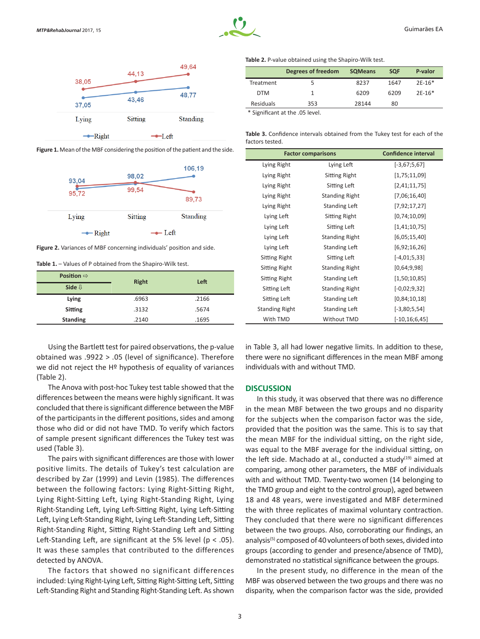



**Figure 1.** Mean of the MBF considering the position of the patient and the side.



**Figure 2.** Variances of MBF concerning individuals' position and side.

**Table 1.** – Values of P obtained from the Shapiro-Wilk test.

| Position $\Rightarrow$ | Right | Left  |  |
|------------------------|-------|-------|--|
| Side $\mathbb U$       |       |       |  |
| Lying                  | .6963 | .2166 |  |
| Sitting                | .3132 | .5674 |  |
| <b>Standing</b>        | .2140 | .1695 |  |

Using the Bartlett test for paired observations, the p-value obtained was .9922 > .05 (level of significance). Therefore we did not reject the Hº hypothesis of equality of variances (Table 2).

The Anova with post-hoc Tukey test table showed that the differences between the means were highly significant. It was concluded that there is significant difference between the MBF of the participants in the different positions, sides and among those who did or did not have TMD. To verify which factors of sample present significant differences the Tukey test was used (Table 3).

The pairs with significant differences are those with lower positive limits. The details of Tukey's test calculation are described by Zar (1999) and Levin (1985). The differences between the following factors: Lying Right-Sitting Right, Lying Right-Sitting Left, Lying Right-Standing Right, Lying Right-Standing Left, Lying Left-Sitting Right, Lying Left-Sitting Left, Lying Left-Standing Right, Lying Left-Standing Left, Sitting Right-Standing Right, Sitting Right-Standing Left and Sitting Left-Standing Left, are significant at the 5% level (p < .05). It was these samples that contributed to the differences detected by ANOVA.

The factors that showed no significant differences included: Lying Right-Lying Left, Sitting Right-Sitting Left, Sitting Left-Standing Right and Standing Right-Standing Left. As shown **Table 2.** P-value obtained using the Shapiro-Wilk test.

|                  | Degrees of freedom | <b>SQMeans</b> | <b>SQF</b> | P-valor  |
|------------------|--------------------|----------------|------------|----------|
| Treatment        |                    | 8237           | 1647       | $2E-16*$ |
| <b>DTM</b>       |                    | 6209           | 6209       | $2E-16*$ |
| <b>Residuals</b> | 353                | 28144          | 80         |          |

\* Significant at the .05 level.

**Table 3.** Confidence intervals obtained from the Tukey test for each of the factors tested.

| <b>Factor comparisons</b> |                       | <b>Confidence interval</b> |
|---------------------------|-----------------------|----------------------------|
| Lying Right               | Lying Left            | $[-3,67;5,67]$             |
| Lying Right               | Sitting Right         | [1,75;11,09]               |
| Lying Right               | Sitting Left          | [2,41;11,75]               |
| Lying Right               | <b>Standing Right</b> | [7,06;16,40]               |
| Lying Right               | Standing Left         | [7,92;17,27]               |
| Lying Left                | Sitting Right         | [0, 74; 10, 09]            |
| Lying Left                | Sitting Left          | [1,41;10,75]               |
| Lying Left                | <b>Standing Right</b> | [6,05;15,40]               |
| Lying Left                | <b>Standing Left</b>  | [6,92;16,26]               |
| Sitting Right             | Sitting Left          | $[-4,01;5,33]$             |
| Sitting Right             | <b>Standing Right</b> | [0,64;9,98]                |
| Sitting Right             | <b>Standing Left</b>  | [1,50;10,85]               |
| Sitting Left              | <b>Standing Right</b> | $[-0,02;9,32]$             |
| Sitting Left              | Standing Left         | [0,84;10,18]               |
| <b>Standing Right</b>     | Standing Left         | $[-3,80;5,54]$             |
| With TMD                  | Without TMD           | $[-10, 16; 6, 45]$         |

in Table 3, all had lower negative limits. In addition to these, there were no significant differences in the mean MBF among individuals with and without TMD.

# **DISCUSSION**

In this study, it was observed that there was no difference in the mean MBF between the two groups and no disparity for the subjects when the comparison factor was the side, provided that the position was the same. This is to say that the mean MBF for the individual sitting, on the right side, was equal to the MBF average for the individual sitting, on the left side. Machado at al., conducted a study $(19)$  aimed at comparing, among other parameters, the MBF of individuals with and without TMD. Twenty-two women (14 belonging to the TMD group and eight to the control group), aged between 18 and 48 years, were investigated and MBF determined the with three replicates of maximal voluntary contraction. They concluded that there were no significant differences between the two groups. Also, corroborating our findings, an analysis<sup>(5)</sup> composed of 40 volunteers of both sexes, divided into groups (according to gender and presence/absence of TMD), demonstrated no statistical significance between the groups.

In the present study, no difference in the mean of the MBF was observed between the two groups and there was no disparity, when the comparison factor was the side, provided